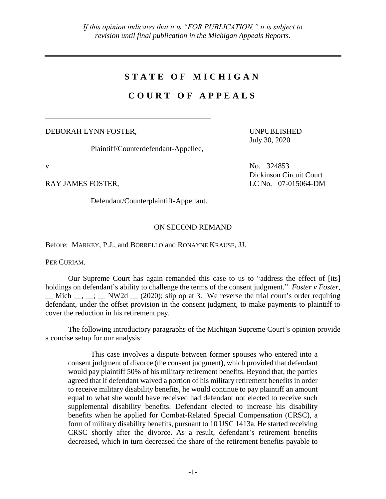## **S T A T E O F M I C H I G A N**

## **C O U R T O F A P P E A L S**

DEBORAH LYNN FOSTER,

Plaintiff/Counterdefendant-Appellee,

UNPUBLISHED July 30, 2020

Dickinson Circuit Court

v No. 324853

RAY JAMES FOSTER, LC No. 07-015064-DM

Defendant/Counterplaintiff-Appellant.

## ON SECOND REMAND

Before: MARKEY, P.J., and BORRELLO and RONAYNE KRAUSE, JJ.

PER CURIAM.

Our Supreme Court has again remanded this case to us to "address the effect of [its] holdings on defendant's ability to challenge the terms of the consent judgment." *Foster v Foster*,  $\text{Mich }$ ,  $\therefore$  NW2d  $\cong$  (2020); slip op at 3. We reverse the trial court's order requiring defendant, under the offset provision in the consent judgment, to make payments to plaintiff to cover the reduction in his retirement pay.

The following introductory paragraphs of the Michigan Supreme Court's opinion provide a concise setup for our analysis:

This case involves a dispute between former spouses who entered into a consent judgment of divorce (the consent judgment), which provided that defendant would pay plaintiff 50% of his military retirement benefits. Beyond that, the parties agreed that if defendant waived a portion of his military retirement benefits in order to receive military disability benefits, he would continue to pay plaintiff an amount equal to what she would have received had defendant not elected to receive such supplemental disability benefits. Defendant elected to increase his disability benefits when he applied for Combat-Related Special Compensation (CRSC), a form of military disability benefits, pursuant to 10 USC 1413a. He started receiving CRSC shortly after the divorce. As a result, defendant's retirement benefits decreased, which in turn decreased the share of the retirement benefits payable to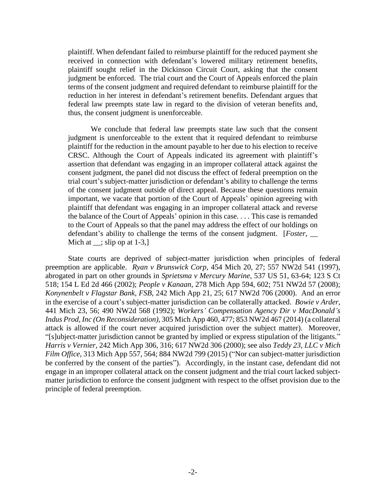plaintiff. When defendant failed to reimburse plaintiff for the reduced payment she received in connection with defendant's lowered military retirement benefits, plaintiff sought relief in the Dickinson Circuit Court, asking that the consent judgment be enforced. The trial court and the Court of Appeals enforced the plain terms of the consent judgment and required defendant to reimburse plaintiff for the reduction in her interest in defendant's retirement benefits. Defendant argues that federal law preempts state law in regard to the division of veteran benefits and, thus, the consent judgment is unenforceable.

We conclude that federal law preempts state law such that the consent judgment is unenforceable to the extent that it required defendant to reimburse plaintiff for the reduction in the amount payable to her due to his election to receive CRSC. Although the Court of Appeals indicated its agreement with plaintiff's assertion that defendant was engaging in an improper collateral attack against the consent judgment, the panel did not discuss the effect of federal preemption on the trial court's subject-matter jurisdiction or defendant's ability to challenge the terms of the consent judgment outside of direct appeal. Because these questions remain important, we vacate that portion of the Court of Appeals' opinion agreeing with plaintiff that defendant was engaging in an improper collateral attack and reverse the balance of the Court of Appeals' opinion in this case. . . . This case is remanded to the Court of Appeals so that the panel may address the effect of our holdings on defendant's ability to challenge the terms of the consent judgment. [*Foster*, \_\_ Mich at  $\_\_$ ; slip op at 1-3,

State courts are deprived of subject-matter jurisdiction when principles of federal preemption are applicable. *Ryan v Brunswick Corp*, 454 Mich 20, 27; 557 NW2d 541 (1997), abrogated in part on other grounds in *Sprietsma v Mercury Marine*, 537 US 51, 63-64; 123 S Ct 518; 154 L Ed 2d 466 (2002); *People v Kanaan*, 278 Mich App 594, 602; 751 NW2d 57 (2008); *Konynenbelt v Flagstar Bank, FSB*, 242 Mich App 21, 25; 617 NW2d 706 (2000). And an error in the exercise of a court's subject-matter jurisdiction can be collaterally attacked. *Bowie v Arder*, 441 Mich 23, 56; 490 NW2d 568 (1992); *Workers' Compensation Agency Dir v MacDonald's Indus Prod, Inc (On Reconsideration)*, 305 Mich App 460, 477; 853 NW2d 467 (2014) (a collateral attack is allowed if the court never acquired jurisdiction over the subject matter). Moreover, "[s]ubject-matter jurisdiction cannot be granted by implied or express stipulation of the litigants." *Harris v Vernier*, 242 Mich App 306, 316; 617 NW2d 306 (2000); see also *Teddy 23, LLC v Mich Film Office*, 313 Mich App 557, 564; 884 NW2d 799 (2015) ("Nor can subject-matter jurisdiction be conferred by the consent of the parties"). Accordingly, in the instant case, defendant did not engage in an improper collateral attack on the consent judgment and the trial court lacked subjectmatter jurisdiction to enforce the consent judgment with respect to the offset provision due to the principle of federal preemption.